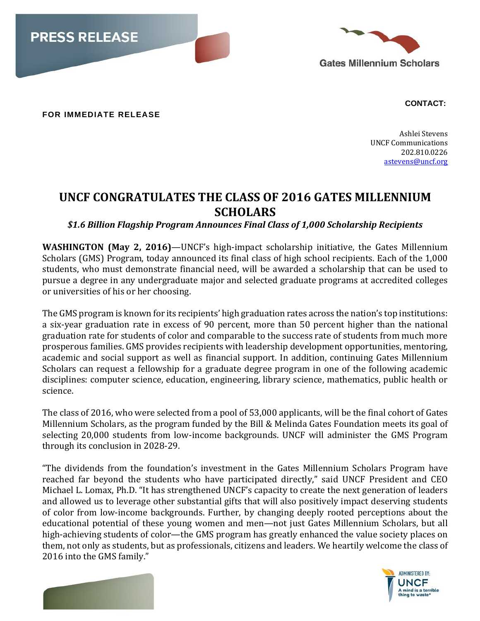



**FOR IMMEDIATE RELEASE**

 **CONTACT:**

Ashlei Stevens UNCF Communications 202.810.0226 [astevens@uncf.org](mailto:astevens@uncf.org)

## **UNCF CONGRATULATES THE CLASS OF 2016 GATES MILLENNIUM SCHOLARS**

*\$1.6 Billion Flagship Program Announces Final Class of 1,000 Scholarship Recipients*

**WASHINGTON (May 2, 2016)**—UNCF's high-impact scholarship initiative, the Gates Millennium Scholars (GMS) Program, today announced its final class of high school recipients. Each of the 1,000 students, who must demonstrate financial need, will be awarded a scholarship that can be used to pursue a degree in any undergraduate major and selected graduate programs at accredited colleges or universities of his or her choosing.

The GMS program is known for its recipients' high graduation rates across the nation's top institutions: a six-year graduation rate in excess of 90 percent, more than 50 percent higher than the national graduation rate for students of color and comparable to the success rate of students from much more prosperous families. GMS provides recipients with leadership development opportunities, mentoring, academic and social support as well as financial support. In addition, continuing Gates Millennium Scholars can request a fellowship for a graduate degree program in one of the following academic disciplines: computer science, education, engineering, library science, mathematics, public health or science.

The class of 2016, who were selected from a pool of 53,000 applicants, will be the final cohort of Gates Millennium Scholars, as the program funded by the Bill & Melinda Gates Foundation meets its goal of selecting 20,000 students from low-income backgrounds. UNCF will administer the GMS Program through its conclusion in 2028-29.

"The dividends from the foundation's investment in the Gates Millennium Scholars Program have reached far beyond the students who have participated directly," said UNCF President and CEO Michael L. Lomax, Ph.D. "It has strengthened UNCF's capacity to create the next generation of leaders and allowed us to leverage other substantial gifts that will also positively impact deserving students of color from low-income backgrounds. Further, by changing deeply rooted perceptions about the educational potential of these young women and men—not just Gates Millennium Scholars, but all high-achieving students of color—the GMS program has greatly enhanced the value society places on them, not only as students, but as professionals, citizens and leaders. We heartily welcome the class of 2016 into the GMS family."



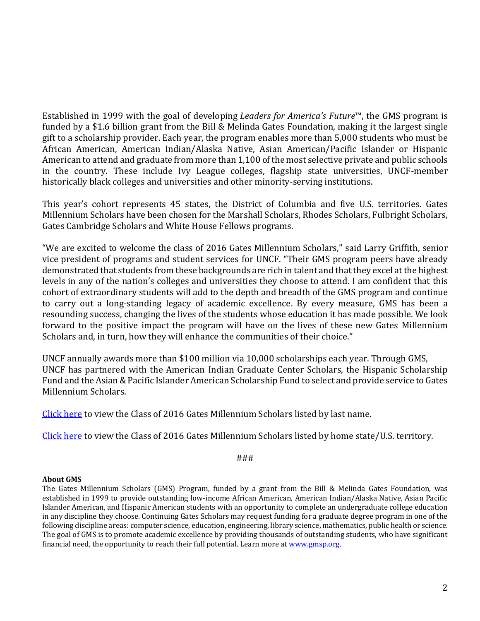Established in 1999 with the goal of developing *Leaders for America's Future*™, the GMS program is funded by a \$1.6 billion grant from the Bill & Melinda Gates Foundation, making it the largest single gift to a scholarship provider. Each year, the program enables more than 5,000 students who must be African American, American Indian/Alaska Native, Asian American/Pacific Islander or Hispanic American to attend and graduate from more than 1,100 of the most selective private and public schools in the country. These include Ivy League colleges, flagship state universities, UNCF-member historically black colleges and universities and other minority-serving institutions.

This year's cohort represents 45 states, the District of Columbia and five U.S. territories. Gates Millennium Scholars have been chosen for the Marshall Scholars, Rhodes Scholars, Fulbright Scholars, Gates Cambridge Scholars and White House Fellows programs.

"We are excited to welcome the class of 2016 Gates Millennium Scholars," said Larry Griffith, senior vice president of programs and student services for UNCF. "Their GMS program peers have already demonstrated that students from these backgrounds are rich in talent and that they excel at the highest levels in any of the nation's colleges and universities they choose to attend. I am confident that this cohort of extraordinary students will add to the depth and breadth of the GMS program and continue to carry out a long-standing legacy of academic excellence. By every measure, GMS has been a resounding success, changing the lives of the students whose education it has made possible. We look forward to the positive impact the program will have on the lives of these new Gates Millennium Scholars and, in turn, how they will enhance the communities of their choice."

UNCF annually awards more than \$100 million via 10,000 scholarships each year. Through GMS, UNCF has partnered with the American Indian Graduate Center Scholars, the Hispanic Scholarship Fund and the Asian & Pacific Islander American Scholarship Fund to select and provide service to Gates Millennium Scholars.

[Click here](http://www.gmsp.org/docs/press_releases/2016/GMS_2016__UNCF-CONGRATULATES--By-Last_Name.pdf) to view the Class of 2016 Gates Millennium Scholars listed by last name.

[Click here](http://www.gmsp.org/docs/press_releases/2016/GMS_2016__UNCF-CONGRATULATES--By-Home-State.pdf) to view the Class of 2016 Gates Millennium Scholars listed by home state/U.S. territory.

###

## **About GMS**

The Gates Millennium Scholars (GMS) Program, funded by a grant from the Bill & Melinda Gates Foundation, was established in 1999 to provide outstanding low-income African American, American Indian/Alaska Native, Asian Pacific Islander American, and Hispanic American students with an opportunity to complete an undergraduate college education in any discipline they choose. Continuing Gates Scholars may request funding for a graduate degree program in one of the following discipline areas: computer science, education, engineering, library science, mathematics, public health or science. The goal of GMS is to promote academic excellence by providing thousands of outstanding students, who have significant financial need, the opportunity to reach their full potential. Learn more at www.gmsp.org.